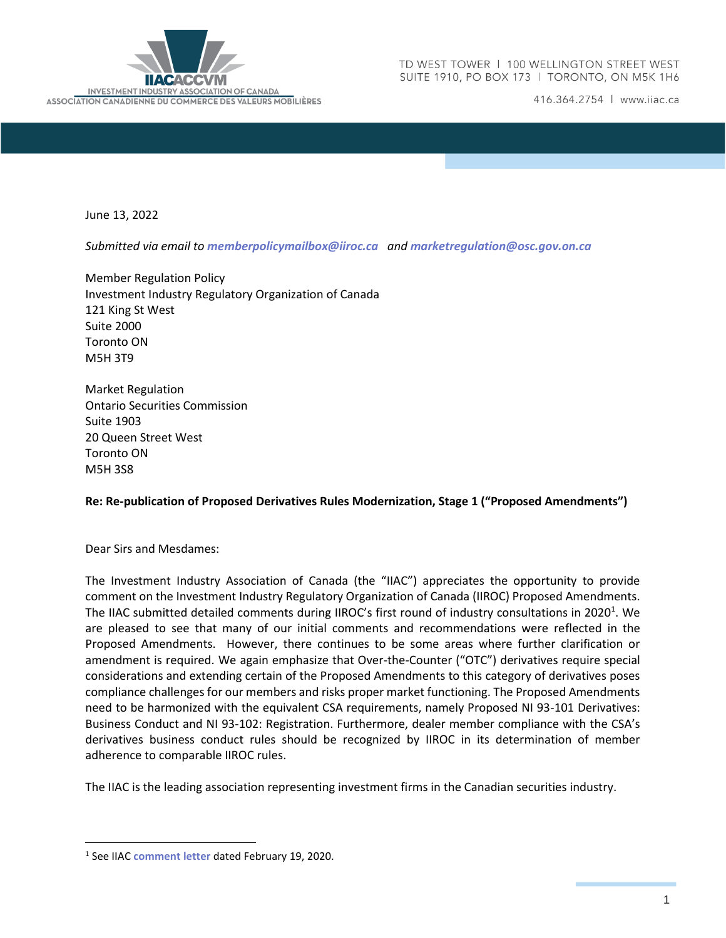

416.364.2754 | www.iiac.ca

June 13, 2022

*Submitted via email to [memberpolicymailbox@iiroc.ca](mailto:memberpolicymailbox@iiroc.ca) and [marketregulation@osc.gov.on.ca](mailto:marketregulation@osc.gov.on.ca)*

Member Regulation Policy Investment Industry Regulatory Organization of Canada 121 King St West Suite 2000 Toronto ON M5H 3T9

Market Regulation Ontario Securities Commission Suite 1903 20 Queen Street West Toronto ON M5H 3S8

#### **Re: Re-publication of Proposed Derivatives Rules Modernization, Stage 1 ("Proposed Amendments")**

Dear Sirs and Mesdames:

The Investment Industry Association of Canada (the "IIAC") appreciates the opportunity to provide comment on the Investment Industry Regulatory Organization of Canada (IIROC) Proposed Amendments. The IIAC submitted detailed comments during IIROC's first round of industry consultations in 2020<sup>1</sup>. We are pleased to see that many of our initial comments and recommendations were reflected in the Proposed Amendments. However, there continues to be some areas where further clarification or amendment is required. We again emphasize that Over-the-Counter ("OTC") derivatives require special considerations and extending certain of the Proposed Amendments to this category of derivatives poses compliance challenges for our members and risks proper market functioning. The Proposed Amendments need to be harmonized with the equivalent CSA requirements, namely Proposed NI 93-101 Derivatives: Business Conduct and NI 93-102: Registration. Furthermore, dealer member compliance with the CSA's derivatives business conduct rules should be recognized by IIROC in its determination of member adherence to comparable IIROC rules.

The IIAC is the leading association representing investment firms in the Canadian securities industry.

<sup>1</sup> See IIAC **[comment letter](https://iiac.ca/wp-content/uploads/IIAC-Letter-to-IIROC_-Proposed-Derivatives-Rule-Modernization_February-19-2020.pdf)** dated February 19, 2020.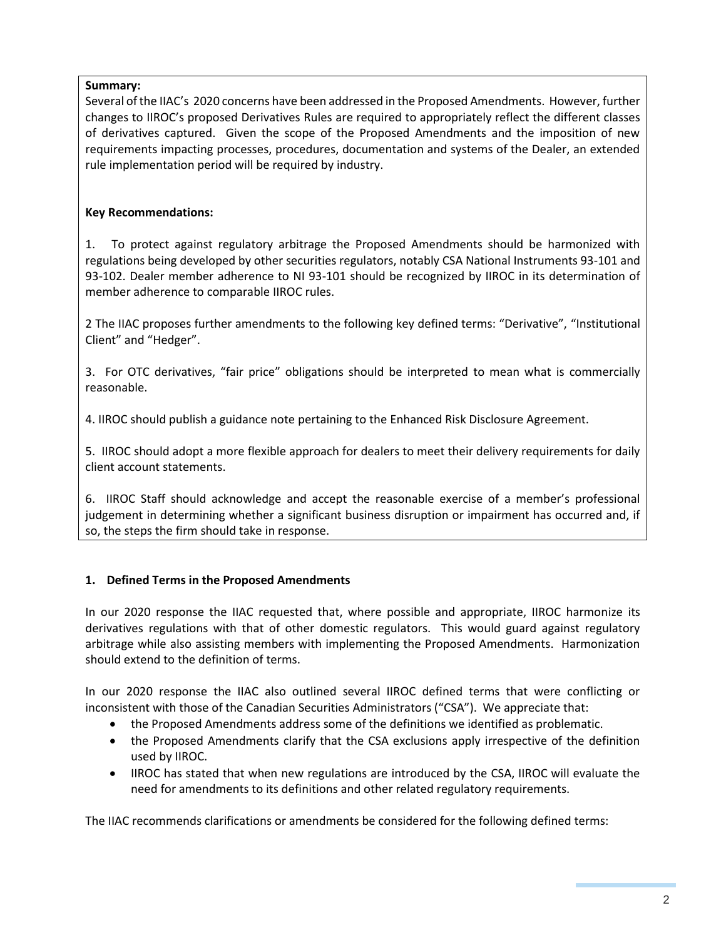## **Summary:**

Several of the IIAC's 2020 concerns have been addressed in the Proposed Amendments. However, further changes to IIROC's proposed Derivatives Rules are required to appropriately reflect the different classes of derivatives captured. Given the scope of the Proposed Amendments and the imposition of new requirements impacting processes, procedures, documentation and systems of the Dealer, an extended rule implementation period will be required by industry.

## **Key Recommendations:**

1. To protect against regulatory arbitrage the Proposed Amendments should be harmonized with regulations being developed by other securities regulators, notably CSA National Instruments 93-101 and 93-102. Dealer member adherence to NI 93-101 should be recognized by IIROC in its determination of member adherence to comparable IIROC rules.

2 The IIAC proposes further amendments to the following key defined terms: "Derivative", "Institutional Client" and "Hedger".

3. For OTC derivatives, "fair price" obligations should be interpreted to mean what is commercially reasonable.

4. IIROC should publish a guidance note pertaining to the Enhanced Risk Disclosure Agreement.

5. IIROC should adopt a more flexible approach for dealers to meet their delivery requirements for daily client account statements.

6. IIROC Staff should acknowledge and accept the reasonable exercise of a member's professional judgement in determining whether a significant business disruption or impairment has occurred and, if so, the steps the firm should take in response.

## **1. Defined Terms in the Proposed Amendments**

In our 2020 response the IIAC requested that, where possible and appropriate, IIROC harmonize its derivatives regulations with that of other domestic regulators. This would guard against regulatory arbitrage while also assisting members with implementing the Proposed Amendments. Harmonization should extend to the definition of terms.

In our 2020 response the IIAC also outlined several IIROC defined terms that were conflicting or inconsistent with those of the Canadian Securities Administrators ("CSA"). We appreciate that:

- the Proposed Amendments address some of the definitions we identified as problematic.
- the Proposed Amendments clarify that the CSA exclusions apply irrespective of the definition used by IIROC.
- IIROC has stated that when new regulations are introduced by the CSA, IIROC will evaluate the need for amendments to its definitions and other related regulatory requirements.

The IIAC recommends clarifications or amendments be considered for the following defined terms: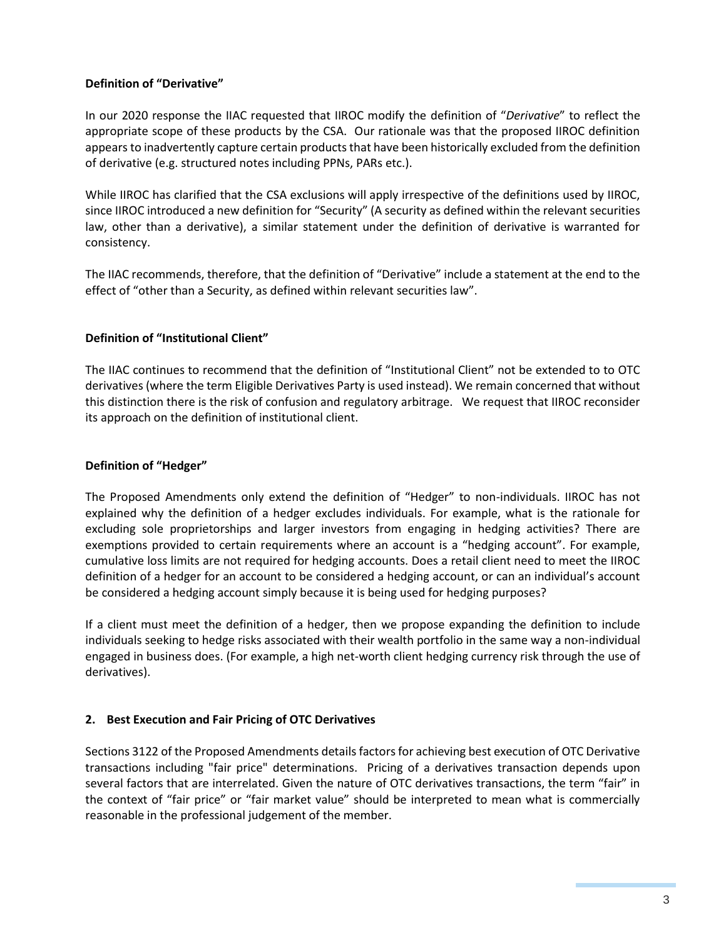#### **Definition of "Derivative"**

In our 2020 response the IIAC requested that IIROC modify the definition of "*Derivative*" to reflect the appropriate scope of these products by the CSA. Our rationale was that the proposed IIROC definition appears to inadvertently capture certain products that have been historically excluded from the definition of derivative (e.g. structured notes including PPNs, PARs etc.).

While IIROC has clarified that the CSA exclusions will apply irrespective of the definitions used by IIROC, since IIROC introduced a new definition for "Security" (A security as defined within the relevant securities law, other than a derivative), a similar statement under the definition of derivative is warranted for consistency.

The IIAC recommends, therefore, that the definition of "Derivative" include a statement at the end to the effect of "other than a Security, as defined within relevant securities law".

### **Definition of "Institutional Client"**

The IIAC continues to recommend that the definition of "Institutional Client" not be extended to to OTC derivatives (where the term Eligible Derivatives Party is used instead). We remain concerned that without this distinction there is the risk of confusion and regulatory arbitrage. We request that IIROC reconsider its approach on the definition of institutional client.

#### **Definition of "Hedger"**

The Proposed Amendments only extend the definition of "Hedger" to non-individuals. IIROC has not explained why the definition of a hedger excludes individuals. For example, what is the rationale for excluding sole proprietorships and larger investors from engaging in hedging activities? There are exemptions provided to certain requirements where an account is a "hedging account". For example, cumulative loss limits are not required for hedging accounts. Does a retail client need to meet the IIROC definition of a hedger for an account to be considered a hedging account, or can an individual's account be considered a hedging account simply because it is being used for hedging purposes?

If a client must meet the definition of a hedger, then we propose expanding the definition to include individuals seeking to hedge risks associated with their wealth portfolio in the same way a non-individual engaged in business does. (For example, a high net-worth client hedging currency risk through the use of derivatives).

#### **2. Best Execution and Fair Pricing of OTC Derivatives**

Sections 3122 of the Proposed Amendments details factors for achieving best execution of OTC Derivative transactions including "fair price" determinations. Pricing of a derivatives transaction depends upon several factors that are interrelated. Given the nature of OTC derivatives transactions, the term "fair" in the context of "fair price" or "fair market value" should be interpreted to mean what is commercially reasonable in the professional judgement of the member.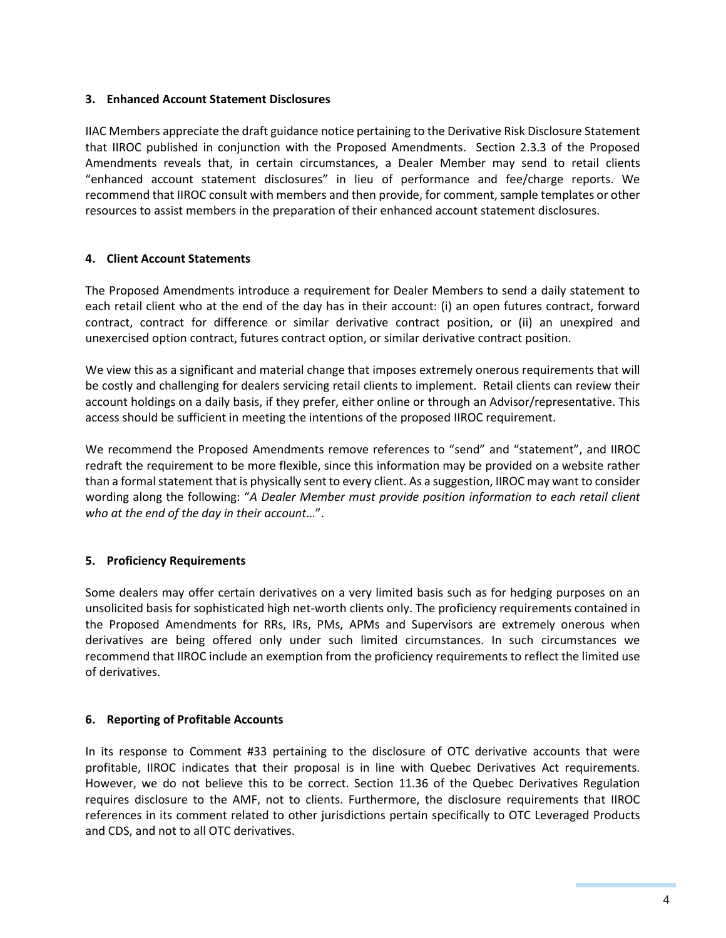#### **3. Enhanced Account Statement Disclosures**

IIAC Members appreciate the draft guidance notice pertaining to the Derivative Risk Disclosure Statement that IIROC published in conjunction with the Proposed Amendments. Section 2.3.3 of the Proposed Amendments reveals that, in certain circumstances, a Dealer Member may send to retail clients "enhanced account statement disclosures" in lieu of performance and fee/charge reports. We recommend that IIROC consult with members and then provide, for comment, sample templates or other resources to assist members in the preparation of their enhanced account statement disclosures.

#### **4. Client Account Statements**

The Proposed Amendments introduce a requirement for Dealer Members to send a daily statement to each retail client who at the end of the day has in their account: (i) an open futures contract, forward contract, contract for difference or similar derivative contract position, or (ii) an unexpired and unexercised option contract, futures contract option, or similar derivative contract position.

We view this as a significant and material change that imposes extremely onerous requirements that will be costly and challenging for dealers servicing retail clients to implement. Retail clients can review their account holdings on a daily basis, if they prefer, either online or through an Advisor/representative. This access should be sufficient in meeting the intentions of the proposed IIROC requirement.

We recommend the Proposed Amendments remove references to "send" and "statement", and IIROC redraft the requirement to be more flexible, since this information may be provided on a website rather than a formal statement that is physically sent to every client. As a suggestion, IIROC may want to consider wording along the following: "*A Dealer Member must provide position information to each retail client who at the end of the day in their account*…".

#### **5. Proficiency Requirements**

Some dealers may offer certain derivatives on a very limited basis such as for hedging purposes on an unsolicited basis for sophisticated high net-worth clients only. The proficiency requirements contained in the Proposed Amendments for RRs, IRs, PMs, APMs and Supervisors are extremely onerous when derivatives are being offered only under such limited circumstances. In such circumstances we recommend that IIROC include an exemption from the proficiency requirements to reflect the limited use of derivatives.

#### **6. Reporting of Profitable Accounts**

In its response to Comment #33 pertaining to the disclosure of OTC derivative accounts that were profitable, IIROC indicates that their proposal is in line with Quebec Derivatives Act requirements. However, we do not believe this to be correct. Section 11.36 of the Quebec Derivatives Regulation requires disclosure to the AMF, not to clients. Furthermore, the disclosure requirements that IIROC references in its comment related to other jurisdictions pertain specifically to OTC Leveraged Products and CDS, and not to all OTC derivatives.